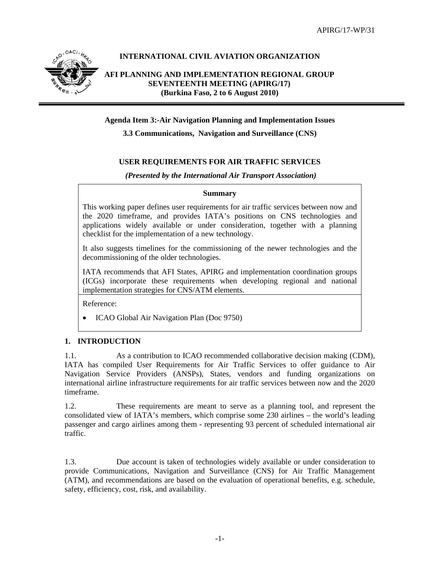

# **INTERNATIONAL CIVIL AVIATION ORGANIZATION**

**AFI PLANNING AND IMPLEMENTATION REGIONAL GROUP SEVENTEENTH MEETING (APIRG/17) (Burkina Faso, 2 to 6 August 2010)** 

## **Agenda Item 3:-Air Navigation Planning and Implementation Issues**

**3.3 Communications, Navigation and Surveillance (CNS)** 

# **USER REQUIREMENTS FOR AIR TRAFFIC SERVICES**

## *(Presented by the International Air Transport Association)*

#### **Summary**

This working paper defines user requirements for air traffic services between now and the 2020 timeframe, and provides IATA's positions on CNS technologies and applications widely available or under consideration, together with a planning checklist for the implementation of a new technology.

It also suggests timelines for the commissioning of the newer technologies and the decommissioning of the older technologies.

IATA recommends that AFI States, APIRG and implementation coordination groups (ICGs) incorporate these requirements when developing regional and national implementation strategies for CNS/ATM elements.

Reference:

• ICAO Global Air Navigation Plan (Doc 9750)

#### **1. INTRODUCTION**

1.1. As a contribution to ICAO recommended collaborative decision making (CDM), IATA has compiled User Requirements for Air Traffic Services to offer guidance to Air Navigation Service Providers (ANSPs), States, vendors and funding organizations on international airline infrastructure requirements for air traffic services between now and the 2020 timeframe.

1.2. These requirements are meant to serve as a planning tool, and represent the consolidated view of IATA's members, which comprise some 230 airlines – the world's leading passenger and cargo airlines among them - representing 93 percent of scheduled international air traffic.

1.3. Due account is taken of technologies widely available or under consideration to provide Communications, Navigation and Surveillance (CNS) for Air Traffic Management (ATM), and recommendations are based on the evaluation of operational benefits, e.g. schedule, safety, efficiency, cost, risk, and availability.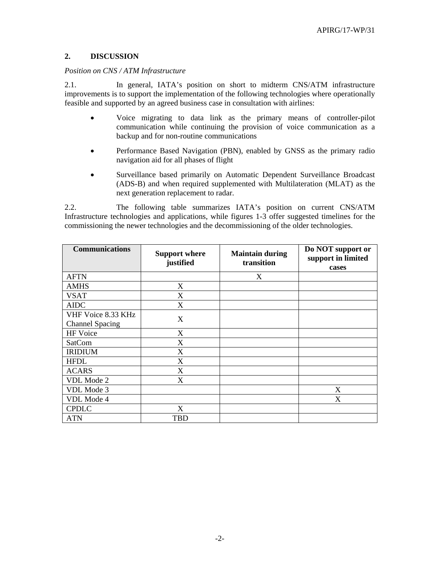## **2. DISCUSSION**

#### *Position on CNS / ATM Infrastructure*

2.1. In general, IATA's position on short to midterm CNS/ATM infrastructure improvements is to support the implementation of the following technologies where operationally feasible and supported by an agreed business case in consultation with airlines:

- Voice migrating to data link as the primary means of controller-pilot communication while continuing the provision of voice communication as a backup and for non-routine communications
- Performance Based Navigation (PBN), enabled by GNSS as the primary radio navigation aid for all phases of flight
- Surveillance based primarily on Automatic Dependent Surveillance Broadcast (ADS-B) and when required supplemented with Multilateration (MLAT) as the next generation replacement to radar.

2.2. The following table summarizes IATA's position on current CNS/ATM Infrastructure technologies and applications, while figures 1-3 offer suggested timelines for the commissioning the newer technologies and the decommissioning of the older technologies.

| <b>Communications</b>                        | <b>Support where</b><br>justified | <b>Maintain during</b><br>transition | Do NOT support or<br>support in limited<br>cases |
|----------------------------------------------|-----------------------------------|--------------------------------------|--------------------------------------------------|
| <b>AFTN</b>                                  |                                   | X                                    |                                                  |
| <b>AMHS</b>                                  | X                                 |                                      |                                                  |
| <b>VSAT</b>                                  | X                                 |                                      |                                                  |
| <b>AIDC</b>                                  | X                                 |                                      |                                                  |
| VHF Voice 8.33 KHz<br><b>Channel Spacing</b> | X                                 |                                      |                                                  |
| HF Voice                                     | X                                 |                                      |                                                  |
| <b>SatCom</b>                                | X                                 |                                      |                                                  |
| <b>IRIDIUM</b>                               | X                                 |                                      |                                                  |
| <b>HFDL</b>                                  | X                                 |                                      |                                                  |
| <b>ACARS</b>                                 | X                                 |                                      |                                                  |
| VDL Mode 2                                   | X                                 |                                      |                                                  |
| VDL Mode 3                                   |                                   |                                      | X                                                |
| VDL Mode 4                                   |                                   |                                      | X                                                |
| <b>CPDLC</b>                                 | X                                 |                                      |                                                  |
| <b>ATN</b>                                   | TBD                               |                                      |                                                  |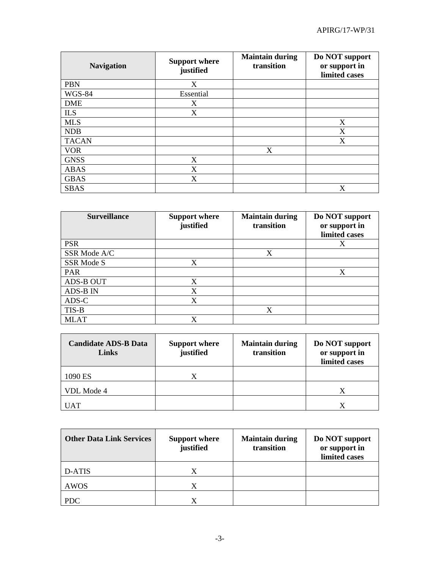| <b>Navigation</b> | <b>Support where</b><br>justified | <b>Maintain during</b><br>transition | Do NOT support<br>or support in<br>limited cases |
|-------------------|-----------------------------------|--------------------------------------|--------------------------------------------------|
| <b>PBN</b>        | X                                 |                                      |                                                  |
| <b>WGS-84</b>     | Essential                         |                                      |                                                  |
| <b>DME</b>        | X                                 |                                      |                                                  |
| <b>ILS</b>        | X                                 |                                      |                                                  |
| <b>MLS</b>        |                                   |                                      | X                                                |
| <b>NDB</b>        |                                   |                                      | X                                                |
| <b>TACAN</b>      |                                   |                                      | X                                                |
| <b>VOR</b>        |                                   | X                                    |                                                  |
| <b>GNSS</b>       | X                                 |                                      |                                                  |
| <b>ABAS</b>       | X                                 |                                      |                                                  |
| <b>GBAS</b>       | X                                 |                                      |                                                  |
| <b>SBAS</b>       |                                   |                                      | X                                                |

| <b>Surveillance</b> | <b>Support where</b><br>justified | <b>Maintain during</b><br>transition | Do NOT support<br>or support in<br>limited cases |
|---------------------|-----------------------------------|--------------------------------------|--------------------------------------------------|
| <b>PSR</b>          |                                   |                                      | X                                                |
| SSR Mode A/C        |                                   | X                                    |                                                  |
| SSR Mode S          | X                                 |                                      |                                                  |
| <b>PAR</b>          |                                   |                                      | X                                                |
| ADS-B OUT           | X                                 |                                      |                                                  |
| <b>ADS-B IN</b>     | X                                 |                                      |                                                  |
| ADS-C               | X                                 |                                      |                                                  |
| TIS-B               |                                   | X                                    |                                                  |
| <b>MLAT</b>         |                                   |                                      |                                                  |

| <b>Candidate ADS-B Data</b><br>Links | <b>Support where</b><br>justified | <b>Maintain during</b><br>transition | Do NOT support<br>or support in<br>limited cases |
|--------------------------------------|-----------------------------------|--------------------------------------|--------------------------------------------------|
| 1090 ES                              |                                   |                                      |                                                  |
| VDL Mode 4                           |                                   |                                      | X                                                |
| <b>UAT</b>                           |                                   |                                      |                                                  |

| <b>Other Data Link Services</b> | <b>Support where</b><br>justified | <b>Maintain during</b><br>transition | Do NOT support<br>or support in<br>limited cases |
|---------------------------------|-----------------------------------|--------------------------------------|--------------------------------------------------|
| D-ATIS                          |                                   |                                      |                                                  |
| AWOS                            |                                   |                                      |                                                  |
| <b>PDC</b>                      |                                   |                                      |                                                  |

and the control of the control of the control of the control of the control of the control of the control of the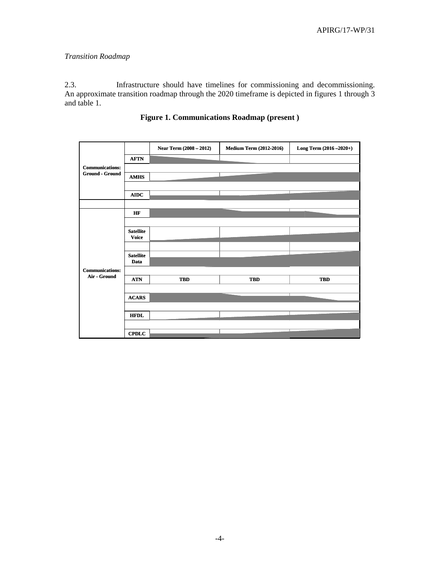# *Transition Roadmap*

2.3. Infrastructure should have timelines for commissioning and decommissioning. An approximate transition roadmap through the 2020 timeframe is depicted in figures 1 through 3 and table 1.

|                        |                  | Near Term (2008 - 2012) | <b>Medium Term (2012-2016)</b> | Long Term (2016-2020+) |
|------------------------|------------------|-------------------------|--------------------------------|------------------------|
|                        | <b>AFTN</b>      |                         |                                |                        |
| <b>Communications:</b> |                  |                         |                                |                        |
| Ground - Ground        | <b>AMHS</b>      |                         |                                |                        |
|                        |                  |                         |                                |                        |
|                        | AIDC             |                         |                                |                        |
|                        |                  |                         |                                |                        |
|                        | HF               |                         |                                |                        |
|                        |                  |                         |                                |                        |
|                        | <b>Satellite</b> |                         |                                |                        |
|                        | <b>Voice</b>     |                         |                                |                        |
|                        |                  |                         |                                |                        |
|                        | <b>Satellite</b> |                         |                                |                        |
| <b>Communications:</b> | Data             |                         |                                |                        |
| Air - Ground           |                  |                         |                                |                        |
|                        | <b>ATN</b>       | <b>TBD</b>              | <b>TBD</b>                     | <b>TBD</b>             |
|                        |                  |                         |                                |                        |
|                        | <b>ACARS</b>     |                         |                                |                        |
|                        |                  |                         |                                |                        |
|                        | <b>HFDL</b>      |                         |                                |                        |
|                        |                  |                         |                                |                        |
|                        | <b>CPDLC</b>     |                         |                                |                        |

# **Figure 1. Communications Roadmap (present )**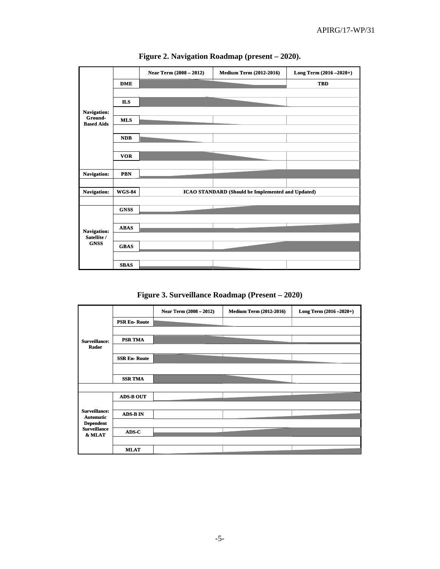

**Figure 2. Navigation Roadmap (present – 2020).** 



|                                          |                     | Near Term (2008 - 2012) | <b>Medium Term (2012-2016)</b> | Long Term (2016 - 2020+) |
|------------------------------------------|---------------------|-------------------------|--------------------------------|--------------------------|
|                                          | <b>PSR En-Route</b> |                         |                                |                          |
|                                          |                     |                         |                                |                          |
| <b>Surveillance:</b>                     | <b>PSR TMA</b>      |                         |                                |                          |
| Radar                                    |                     |                         |                                |                          |
|                                          | <b>SSR En-Route</b> |                         |                                |                          |
|                                          |                     |                         |                                |                          |
|                                          | <b>SSR TMA</b>      |                         |                                |                          |
|                                          |                     |                         |                                |                          |
| <b>Surveillance:</b><br><b>Automatic</b> | <b>ADS-B OUT</b>    |                         |                                |                          |
|                                          |                     |                         |                                |                          |
|                                          | <b>ADS-BIN</b>      |                         |                                |                          |
| <b>Dependent</b>                         |                     |                         |                                |                          |
| <b>Surveillance</b><br>& MLAT            | ADS-C               |                         |                                |                          |
|                                          |                     |                         |                                |                          |
|                                          | <b>MLAT</b>         |                         |                                |                          |